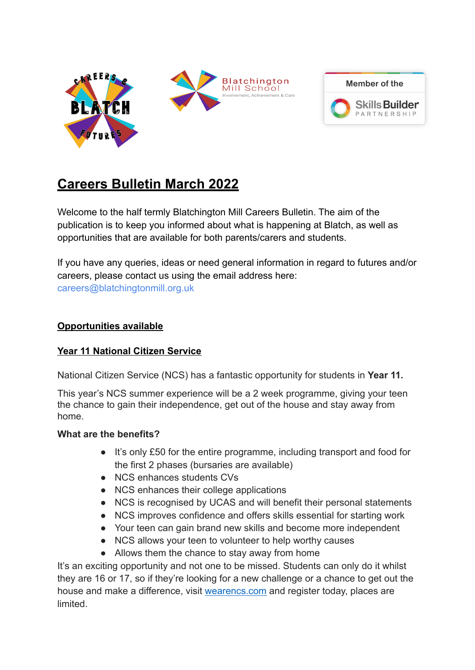



# **Careers Bulletin March 2022**

Welcome to the half termly Blatchington Mill Careers Bulletin. The aim of the publication is to keep you informed about what is happening at Blatch, as well as opportunities that are available for both parents/carers and students.

If you have any queries, ideas or need general information in regard to futures and/or careers, please contact us using the email address here: careers@blatchingtonmill.org.uk

# **Opportunities available**

# **Year 11 National Citizen Service**

National Citizen Service (NCS) has a fantastic opportunity for students in **Year 11.**

This year's NCS summer experience will be a 2 week programme, giving your teen the chance to gain their independence, get out of the house and stay away from home.

## **What are the benefits?**

- It's only £50 for the entire programme, including transport and food for the first 2 phases (bursaries are available)
- NCS enhances students CVs
- NCS enhances their college applications
- NCS is recognised by UCAS and will benefit their personal statements
- NCS improves confidence and offers skills essential for starting work
- Your teen can gain brand new skills and become more independent
- NCS allows your teen to volunteer to help worthy causes
- Allows them the chance to stay away from home

It's an exciting opportunity and not one to be missed. Students can only do it whilst they are 16 or 17, so if they're looking for a new challenge or a chance to get out the house and make a difference, visit [wearencs.com](https://wearencs.com/) and register today, places are limited.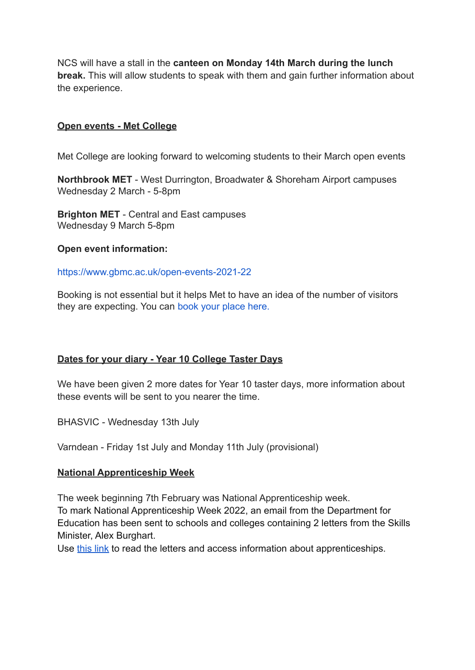NCS will have a stall in the **canteen on Monday 14th March during the lunch break.** This will allow students to speak with them and gain further information about the experience.

### **Open events - Met College**

Met College are looking forward to welcoming students to their March open events

**Northbrook MET** - West Durrington, Broadwater & Shoreham Airport campuses Wednesday 2 March - 5-8pm

**Brighton MET** - Central and East campuses Wednesday 9 March 5-8pm

#### **Open event information:**

#### <https://www.gbmc.ac.uk/open-events-2021-22>

Booking is not essential but it helps Met to have an idea of the number of visitors they are expecting. You can [book your place here](https://docs.google.com/forms/d/e/1FAIpQLSep-pl5o08VJ1NlncSqDwwud_uAwo1l0TdvsrLsFxOAl2aDcA/viewform).

#### **Dates for your diary - Year 10 College Taster Days**

We have been given 2 more dates for Year 10 taster days, more information about these events will be sent to you nearer the time.

BHASVIC - Wednesday 13th July

Varndean - Friday 1st July and Monday 11th July (provisional)

#### **National Apprenticeship Week**

The week beginning 7th February was National Apprenticeship week. To mark National Apprenticeship Week 2022, an email from the Department for Education has been sent to schools and colleges containing 2 letters from the Skills Minister, Alex Burghart.

Use [this link](https://amazingapprenticeships.com/skills-minister-letter/?utm_source=mailchimp&utm_medium=SM+letter&utm_campaign=NAW2022) to read the letters and access information about apprenticeships.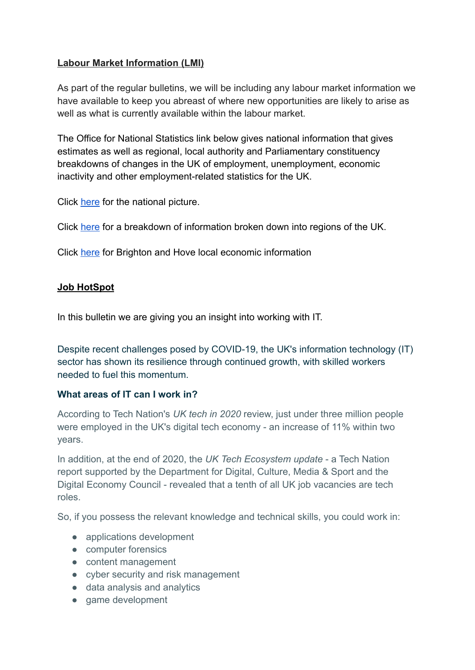# **Labour Market Information (LMI)**

As part of the regular bulletins, we will be including any labour market information we have available to keep you abreast of where new opportunities are likely to arise as well as what is currently available within the labour market.

The Office for National Statistics link below gives national information that gives estimates as well as regional, local authority and Parliamentary constituency breakdowns of changes in the UK of employment, unemployment, economic inactivity and other employment-related statistics for the UK.

Click [here](https://www.ons.gov.uk/employmentandlabourmarket/peopleinwork/employmentandemployeetypes/bulletins/uklabourmarket/november2021) for the national picture.

Click [here](https://www.ons.gov.uk/employmentandlabourmarket/peopleinwork/employmentandemployeetypes/bulletins/regionallabourmarket/latest) for a breakdown of information broken down into regions of the UK.

Click here [for Brighton and Hove local economic information](https://www.brighton-hove.gov.uk/business-and-trade/support-businesses/local-economic-information-and-data)

# **Job HotSpot**

In this bulletin we are giving you an insight into working with IT.

Despite recent challenges posed by COVID-19, the UK's information technology (IT) sector has shown its resilience through continued growth, with skilled workers needed to fuel this momentum.

## **What areas of IT can I work in?**

According to Tech Nation's *UK tech in 2020* review, just under three million people were employed in the UK's digital tech economy - an increase of 11% within two years.

In addition, at the end of 2020, the *UK Tech Ecosystem update* - a Tech Nation report supported by the Department for Digital, Culture, Media & Sport and the Digital Economy Council - revealed that a tenth of all UK job vacancies are tech roles.

So, if you possess the relevant knowledge and technical skills, you could work in:

- applications development
- computer forensics
- content management
- cyber security and risk management
- data analysis and analytics
- game development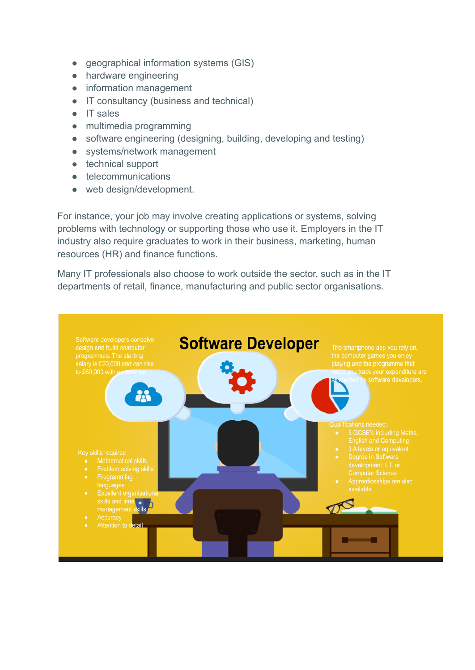- geographical information systems (GIS)
- hardware engineering
- information management
- IT consultancy (business and technical)
- IT sales
- multimedia programming
- software engineering (designing, building, developing and testing)
- systems/network management
- technical support
- telecommunications
- web design/development.

For instance, your job may involve creating applications or systems, solving problems with technology or supporting those who use it. Employers in the IT industry also require graduates to work in their business, marketing, human resources (HR) and finance functions.

Many IT professionals also choose to work outside the sector, such as in the IT departments of retail, finance, manufacturing and public sector organisations.